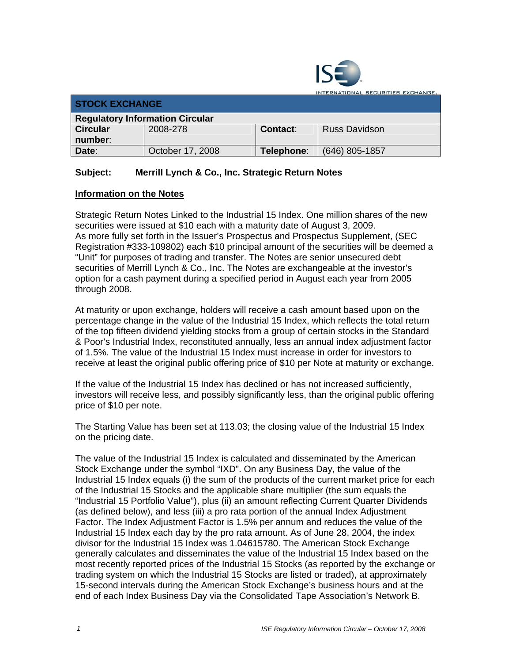

INTERNATIONAL SECURITIES EXCHANGE **STOCK EXCHANGE Regulatory Information Circular**  2008-278 **Contact**: Russ Davidson **Circular number**: **Date**: **Date**: **Date**: **October 17, 2008 Telephone**: (646) 805-1857

## **Subject: Merrill Lynch & Co., Inc. Strategic Return Notes**

## **Information on the Notes**

Strategic Return Notes Linked to the Industrial 15 Index. One million shares of the new securities were issued at \$10 each with a maturity date of August 3, 2009. As more fully set forth in the Issuer's Prospectus and Prospectus Supplement, (SEC Registration #333-109802) each \$10 principal amount of the securities will be deemed a "Unit" for purposes of trading and transfer. The Notes are senior unsecured debt securities of Merrill Lynch & Co., Inc. The Notes are exchangeable at the investor's option for a cash payment during a specified period in August each year from 2005 through 2008.

At maturity or upon exchange, holders will receive a cash amount based upon on the percentage change in the value of the Industrial 15 Index, which reflects the total return of the top fifteen dividend yielding stocks from a group of certain stocks in the Standard & Poor's Industrial Index, reconstituted annually, less an annual index adjustment factor of 1.5%. The value of the Industrial 15 Index must increase in order for investors to receive at least the original public offering price of \$10 per Note at maturity or exchange.

If the value of the Industrial 15 Index has declined or has not increased sufficiently, investors will receive less, and possibly significantly less, than the original public offering price of \$10 per note.

The Starting Value has been set at 113.03; the closing value of the Industrial 15 Index on the pricing date.

The value of the Industrial 15 Index is calculated and disseminated by the American Stock Exchange under the symbol "IXD". On any Business Day, the value of the Industrial 15 Index equals (i) the sum of the products of the current market price for each of the Industrial 15 Stocks and the applicable share multiplier (the sum equals the "Industrial 15 Portfolio Value"), plus (ii) an amount reflecting Current Quarter Dividends (as defined below), and less (iii) a pro rata portion of the annual Index Adjustment Factor. The Index Adjustment Factor is 1.5% per annum and reduces the value of the Industrial 15 Index each day by the pro rata amount. As of June 28, 2004, the index divisor for the Industrial 15 Index was 1.04615780. The American Stock Exchange generally calculates and disseminates the value of the Industrial 15 Index based on the most recently reported prices of the Industrial 15 Stocks (as reported by the exchange or trading system on which the Industrial 15 Stocks are listed or traded), at approximately 15-second intervals during the American Stock Exchange's business hours and at the end of each Index Business Day via the Consolidated Tape Association's Network B.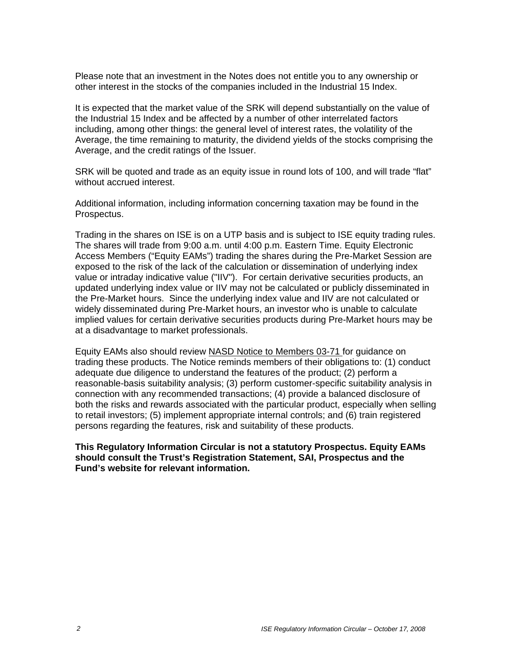Please note that an investment in the Notes does not entitle you to any ownership or other interest in the stocks of the companies included in the Industrial 15 Index.

It is expected that the market value of the SRK will depend substantially on the value of the Industrial 15 Index and be affected by a number of other interrelated factors including, among other things: the general level of interest rates, the volatility of the Average, the time remaining to maturity, the dividend yields of the stocks comprising the Average, and the credit ratings of the Issuer.

SRK will be quoted and trade as an equity issue in round lots of 100, and will trade "flat" without accrued interest.

Additional information, including information concerning taxation may be found in the Prospectus.

Trading in the shares on ISE is on a UTP basis and is subject to ISE equity trading rules. The shares will trade from 9:00 a.m. until 4:00 p.m. Eastern Time. Equity Electronic Access Members ("Equity EAMs") trading the shares during the Pre-Market Session are exposed to the risk of the lack of the calculation or dissemination of underlying index value or intraday indicative value ("IIV"). For certain derivative securities products, an updated underlying index value or IIV may not be calculated or publicly disseminated in the Pre-Market hours. Since the underlying index value and IIV are not calculated or widely disseminated during Pre-Market hours, an investor who is unable to calculate implied values for certain derivative securities products during Pre-Market hours may be at a disadvantage to market professionals.

Equity EAMs also should review NASD Notice to Members 03-71 for guidance on trading these products. The Notice reminds members of their obligations to: (1) conduct adequate due diligence to understand the features of the product; (2) perform a reasonable-basis suitability analysis; (3) perform customer-specific suitability analysis in connection with any recommended transactions; (4) provide a balanced disclosure of both the risks and rewards associated with the particular product, especially when selling to retail investors; (5) implement appropriate internal controls; and (6) train registered persons regarding the features, risk and suitability of these products.

**This Regulatory Information Circular is not a statutory Prospectus. Equity EAMs should consult the Trust's Registration Statement, SAI, Prospectus and the Fund's website for relevant information.**